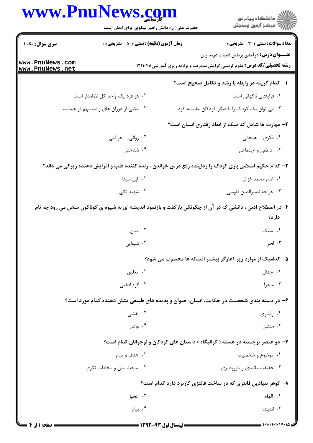|                                    | www.PnuNews.com                                    | ڪ دانشڪاه پيا <sub>م</sub> نور<br>∕ <sup>7</sup> مرڪز آزمون وسنڊش                                                                    |
|------------------------------------|----------------------------------------------------|--------------------------------------------------------------------------------------------------------------------------------------|
|                                    | حضرت علی(ع): دانش راهبر نیکویی برای ایمان است      |                                                                                                                                      |
| سری سوال: یک ۱                     | <b>زمان آزمون (دقیقه) : تستی : 50 ٪ تشریحی : 0</b> | <b>تعداد سوالات : تستی : 30 ٪ تشریحی : 0</b>                                                                                         |
| www.PnuNews.com<br>www.PnuNews.net |                                                    | <b>عنــــوان درس:</b> درآمدی برنقش ادبیات درمدارس<br><b>رشته تحصیلی/کد درس:</b> علوم تربیتی گرایش مدیریت و برنامه ریزی آموزشی۱۲۱۱۰۴۸ |
|                                    |                                                    | ۱- کدام گزینه در رابطه با رشد و تکامل صحیح است؟                                                                                      |
|                                    | ۰۲ هر فرد یک واحد کل نظامدار است                   | ۰۱ فرایندی ناگهانی است                                                                                                               |
|                                    | ۰۴ بعضی از دوران های رشد مهم تر هستند              | ۰۳ می توان یک کودک را با دیگر کودکان مقایسه کرد                                                                                      |
|                                    |                                                    | ۲- مهارت ها شامل کدامیک از ابعاد رفتاری انسان است؟                                                                                   |
|                                    | ۰۲ روانی - حرکتی                                   | ١. فكرى – هيجاني                                                                                                                     |
|                                    | ۰۴ شناختی                                          | ۰۳ عاطفي و اجتماعي                                                                                                                   |
|                                    |                                                    | ۳- کدام حکیم اسلامی بازی کودک را زداینده رنج درس خواندن ، زنده کننده قلب و افزایش دهنده زیرکی می داند؟                               |
|                                    | ۰۲ ابن سینا                                        | ۰۱ امام محمد غزالی                                                                                                                   |
|                                    | ۰۴ شهید ثانی                                       | ۰۳ خواجه نصيرالدين طوسي                                                                                                              |
|                                    |                                                    | ۴- در اصطلاح ادبی ، دانشی که در آن از چگونگی بازگفت و بازنمود اندیشه ای به شیوه ی گوناگون سخن می رود چه نام                          |
|                                    |                                                    | دارد؟                                                                                                                                |
|                                    | ۰۲ بیان                                            | ۰۱ سبک                                                                                                                               |
|                                    | ۰۴ شیوایی                                          | ۰۳ لحن                                                                                                                               |
|                                    |                                                    | ۵– کدامیک از موارد زیر آغازگر بیشتر افسانه ها محسوب می شود؟                                                                          |
|                                    | ۰۲ تعليق                                           | ۰۱ جدال                                                                                                                              |
|                                    | ۰۴ گړه افکنی                                       | ۰۳ ماجرا                                                                                                                             |
|                                    |                                                    | ۶– در دسته بندی شخصیت در حکایت، انسان، حیوان و پدیده های طبیعی نشان دهنده کدام مورد است؟                                             |
|                                    | ۲. نقشی                                            | ۰۱ رفتاری                                                                                                                            |
|                                    | ۰۴ نوعی                                            | ۰۳ منشی                                                                                                                              |
|                                    |                                                    | ۷– دو عنصر برجسته در هسته ( گرانیگاه ) داستان های کودکان و نوجوانان کدام است؟                                                        |
|                                    | ۰۲ هدف و پیام                                      | ۰۱ موضوع و شخصیت                                                                                                                     |
|                                    | ۰۴ ساخت متن و مخاطب نگری                           | ۰۳ حقیقت مانندی و باورپذیری                                                                                                          |
|                                    |                                                    | ۸– گوهر بنیادین فانتزی که در ساخت فانتزی کاربرد دارد کدام است؟                                                                       |
|                                    | ۰۲ تخیل                                            | ٠١. الهام                                                                                                                            |
|                                    | ۰۴ پیام                                            | ۰۳ اندیشه                                                                                                                            |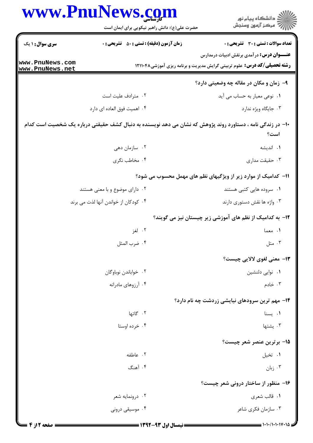|                                    | www.PnuNews.com                                                                                            | ڪ دانشڪاه پيا <sub>م</sub> نور<br>۾ سرڪز آزمون وسنڊش                                                                                  |
|------------------------------------|------------------------------------------------------------------------------------------------------------|---------------------------------------------------------------------------------------------------------------------------------------|
|                                    | حضرت علی(ع): دانش راهبر نیکویی برای ایمان است                                                              |                                                                                                                                       |
| <b>سری سوال : ۱ یک</b>             | <b>زمان آزمون (دقیقه) : تستی : 50 ٪ تشریحی : 0</b>                                                         | <b>تعداد سوالات : تستی : 30 ٪ تشریحی : 0</b>                                                                                          |
| www.PnuNews.com<br>www.PnuNews.net |                                                                                                            | <b>عنــــوان درس:</b> در آمدی برنقش ادبیات درمدارس<br><b>رشته تحصیلی/کد درس:</b> علوم تربیتی گرایش مدیریت و برنامه ریزی آموزشی۱۲۱۱۰۴۸ |
|                                    |                                                                                                            | ۹- زمان و مکان در مقاله چه وضعیتی دارد؟                                                                                               |
|                                    | ۰۲ مترادف علیت است                                                                                         | ٠١. نوعي معيار به حساب مي آيد                                                                                                         |
|                                    | ۰۴ اهمیت فوق العاده ای دارد                                                                                | ۰۳ جایگاه ویژه ندارد                                                                                                                  |
|                                    | +ا– در زندگی نامه ، دستاورد روند پژوهش که نشان می دهد نویسنده به دنبال کشف حقیقتی درباره یک شخصیت است کدام | است؟                                                                                                                                  |
|                                    | ۰۲ سازمان دهی                                                                                              | ۰۱ اندیشه                                                                                                                             |
|                                    | ۰۴ مخاطب نگری                                                                                              | ۰۳ حقیقت مداری                                                                                                                        |
|                                    |                                                                                                            | 11– کدامیک از موارد زیر از ویژگیهای نظم های مهمل محسوب می شود؟                                                                        |
|                                    | ۰۲ دارای موضوع و با معنی هستند                                                                             | ۰۱ سروده هایی کتبی هستند                                                                                                              |
|                                    | ۰۴ کودکان از خواندن آنها لذت می برند                                                                       | ۰۳ واژه ها نقش دستوری دارند                                                                                                           |
|                                    |                                                                                                            | ۱۲- به کدامیک از نظم های آموزشی زیر چیستان نیز می گویند؟                                                                              |
|                                    | ۰۲ لغز                                                                                                     | ۰۱ معما                                                                                                                               |
|                                    | ۰۴ ضرب المثل                                                                                               | ۰۳ متل                                                                                                                                |
|                                    |                                                                                                            | <b>۱۳</b> - معنی لغوی لالایی چیست؟                                                                                                    |
|                                    | ٠٢ خواباندن نوباوگان                                                                                       | ۰۱ نوایی دلنشین                                                                                                                       |
|                                    | ۰۴ آرزوهای مادرانه                                                                                         | ۰۳ خادم                                                                                                                               |
|                                    |                                                                                                            | ۱۴- مهم ترین سرودهای نیایشی زردشت چه نام دارد؟                                                                                        |
|                                    | ۲. گاتها                                                                                                   | ۰۱ يسنا                                                                                                                               |
|                                    | ۰۴ خرده اوستا                                                                                              | ۰۳ يشتها                                                                                                                              |
|                                    |                                                                                                            | ۱۵– برترین عنصر شعر چیست؟                                                                                                             |
|                                    | ٠٢ عاطفه                                                                                                   | ۰۱ تخیل                                                                                                                               |
|                                    | ۰۴ آهنگ                                                                                                    | زبان $\cdot$ ۳                                                                                                                        |
|                                    |                                                                                                            | ۱۶- منظور از ساختار درونی شعر چیست؟                                                                                                   |
|                                    | ۰۲ درونمایه شعر                                                                                            | ۰۱ قالب شعري                                                                                                                          |
|                                    | ۰۴ موسیقی درونی                                                                                            | ۰۳ سازمان فکری شاعر                                                                                                                   |
|                                    |                                                                                                            |                                                                                                                                       |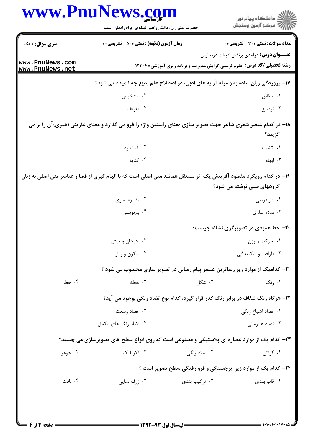|                                    | www.PnuNews.com                                                                                                   |                                                                                 | ِ<br>∭ دانشڪاه پيام نور<br>∭ مرڪز آزمون وسنڊش     |  |
|------------------------------------|-------------------------------------------------------------------------------------------------------------------|---------------------------------------------------------------------------------|---------------------------------------------------|--|
|                                    | حضرت علی(ع): دانش راهبر نیکویی برای ایمان است                                                                     |                                                                                 |                                                   |  |
| سری سوال : ۱ یک                    | <b>زمان آزمون (دقیقه) : تستی : 50 ٪ تشریحی : 0</b>                                                                |                                                                                 | تعداد سوالات : تستي : 30 ٪ تشريحي : 0             |  |
| www.PnuNews.com<br>www.PnuNews.net |                                                                                                                   | <b>رشته تحصیلی/کد درس:</b> علوم تربیتی گرایش مدیریت و برنامه ریزی آموزشی۱۲۱۱۰۴۸ | <b>عنــــوان درس:</b> درآمدی برنقش ادبیات درمدارس |  |
|                                    | ۱۷- پروردگی زبان ساده به وسیله آرایه های ادبی، در اصطلاح علم بدیع چه نامیده می شود؟                               |                                                                                 |                                                   |  |
|                                    | ۰۲ تشخیص                                                                                                          |                                                                                 | ۰۱ تطابق                                          |  |
|                                    | ۰۴ تفويف                                                                                                          |                                                                                 | ۰۳ ترصیع                                          |  |
|                                    | ۱۸– در کدام عنصر شعری شاعر جهت تصویر سازی معنای راستین واژه را فرو می گذارد و معنای عاریتی (هنری)آن را بر می      |                                                                                 | گزيند؟                                            |  |
|                                    | ۰۲ استعاره                                                                                                        |                                                                                 | ۰۱ تشبیه                                          |  |
|                                    | ۰۴ کنایه                                                                                                          |                                                                                 | ۰۳ ایهام                                          |  |
|                                    | ۱۹– در کدام رویکرد مقصود آفرینش یک اثر مستقل همانند متن اصلی است که با الهام گیری از فضا و عناصر متن اصلی به زبان |                                                                                 | گروههای سنی نوشته می شود؟                         |  |
|                                    | ۰۲ نظیره سازی                                                                                                     |                                                                                 | ۰۱ بازآفرینی                                      |  |
|                                    | ۰۴ بازنویسی                                                                                                       |                                                                                 | ۰۳ ساده سازی                                      |  |
|                                    |                                                                                                                   |                                                                                 | <b>۲۰</b> - خط عمودی در تصویرگری نشانه چیست؟      |  |
|                                    | ۰۲ هیجان و تپش                                                                                                    |                                                                                 | ۰۱ حرکت و وزن                                     |  |
|                                    | ۰۴ سکون و وقار                                                                                                    |                                                                                 | ۰۳ ظرافت و شکنندگی                                |  |
|                                    | <b>۲۱</b> - کدامیک از موارد زیر رساترین عنصر پیام رسانی در تصویر سازی محسوب می شود ؟                              |                                                                                 |                                                   |  |
| ۰۴ خط                              | ۰۳ نقطه                                                                                                           | ۰۲ شکل                                                                          | ۰۱ ,نگ                                            |  |
|                                    | <b>۲۲-</b> هرگاه رنگ شفاف در برابر رنگ کدر قرار گیرد، کدام نوع تضاد رنگی بوجود می آید؟                            |                                                                                 |                                                   |  |
|                                    | ۰۲ تضاد وسعت                                                                                                      |                                                                                 | ٠١. تضاد اشباع رنگي                               |  |
|                                    | ۰۴ تضاد رنگ های مکمل                                                                                              |                                                                                 | ۰۳ تضاد همزمانی                                   |  |
|                                    | ۲۳- کدام یک از موارد عصاره ای پلاستیکی و مصنوعی است که روی انواع سطح های تصویرسازی می چسبد؟                       |                                                                                 |                                                   |  |
| ۰۴ جوهر                            | ۰۳ آکریلیک                                                                                                        | ۰۲ مداد رنگی                                                                    | ۰۱ گواش                                           |  |
|                                    |                                                                                                                   | <b>۲۴</b> - کدام یک از موارد زیر برجستگی و فرو رفتگی سطح تصویر است ؟            |                                                   |  |
| ۰۴ بافت                            | ۰۳ ژرف نمایی                                                                                                      | ۰۲ ترکیب بندی                                                                   | ۰۱ قاب بندی                                       |  |